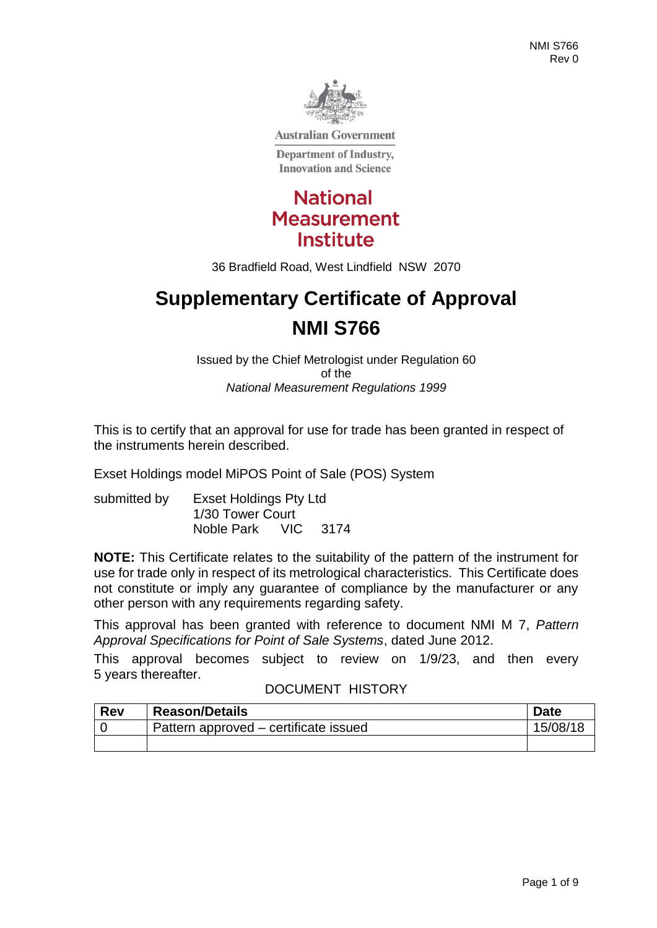

**Australian Government** 

**Department of Industry, Innovation and Science** 



36 Bradfield Road, West Lindfield NSW 2070

# **Supplementary Certificate of Approval NMI S766**

Issued by the Chief Metrologist under Regulation 60 of the *National Measurement Regulations 1999*

This is to certify that an approval for use for trade has been granted in respect of the instruments herein described.

Exset Holdings model MiPOS Point of Sale (POS) System

submitted by Exset Holdings Pty Ltd 1/30 Tower Court Noble Park VIC 3174

**NOTE:** This Certificate relates to the suitability of the pattern of the instrument for use for trade only in respect of its metrological characteristics. This Certificate does not constitute or imply any guarantee of compliance by the manufacturer or any other person with any requirements regarding safety.

This approval has been granted with reference to document NMI M 7, *Pattern Approval Specifications for Point of Sale Systems*, dated June 2012.

This approval becomes subject to review on 1/9/23, and then every 5 years thereafter.

#### DOCUMENT HISTORY

| <b>Rev</b> | <b>Reason/Details</b>                 | <b>Date</b> |
|------------|---------------------------------------|-------------|
|            | Pattern approved – certificate issued | 15/08/18    |
|            |                                       |             |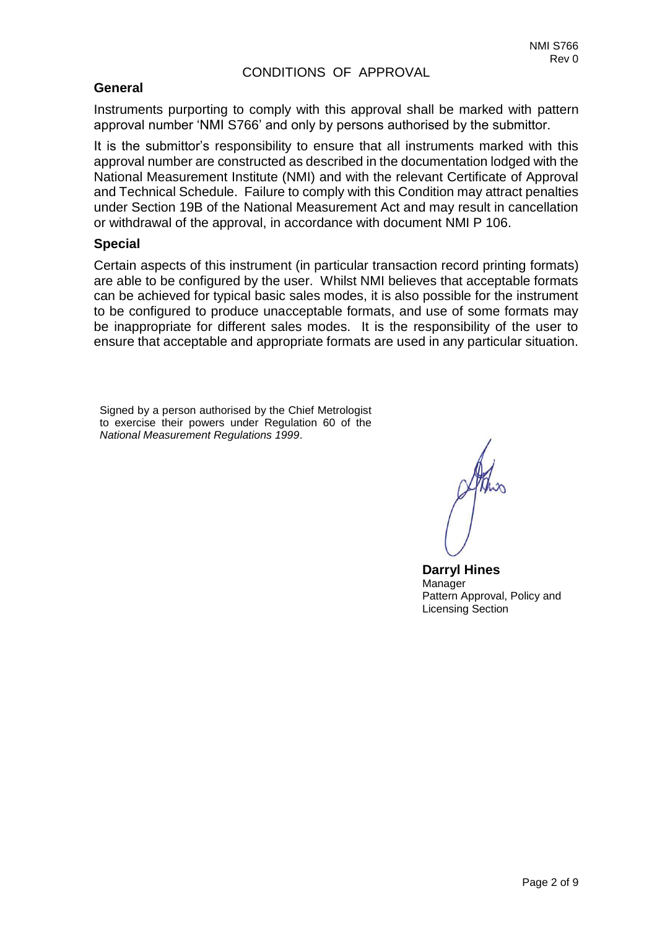# CONDITIONS OF APPROVAL

# **General**

Instruments purporting to comply with this approval shall be marked with pattern approval number 'NMI S766' and only by persons authorised by the submittor.

It is the submittor's responsibility to ensure that all instruments marked with this approval number are constructed as described in the documentation lodged with the National Measurement Institute (NMI) and with the relevant Certificate of Approval and Technical Schedule. Failure to comply with this Condition may attract penalties under Section 19B of the National Measurement Act and may result in cancellation or withdrawal of the approval, in accordance with document NMI P 106.

#### **Special**

Certain aspects of this instrument (in particular transaction record printing formats) are able to be configured by the user. Whilst NMI believes that acceptable formats can be achieved for typical basic sales modes, it is also possible for the instrument to be configured to produce unacceptable formats, and use of some formats may be inappropriate for different sales modes. It is the responsibility of the user to ensure that acceptable and appropriate formats are used in any particular situation.

Signed by a person authorised by the Chief Metrologist to exercise their powers under Regulation 60 of the *National Measurement Regulations 1999*.

**Darryl Hines** Manager Pattern Approval, Policy and Licensing Section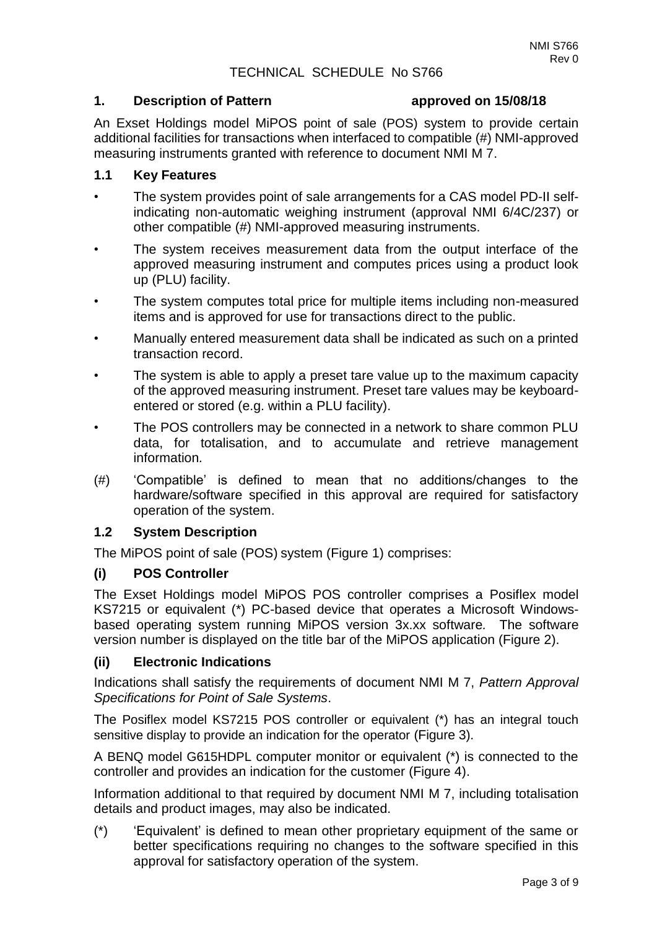### TECHNICAL SCHEDULE No S766

#### **1. Description of Pattern approved on 15/08/18**

An Exset Holdings model MiPOS point of sale (POS) system to provide certain additional facilities for transactions when interfaced to compatible (#) NMI-approved measuring instruments granted with reference to document NMI M 7.

# **1.1 Key Features**

- The system provides point of sale arrangements for a CAS model PD-II selfindicating non-automatic weighing instrument (approval NMI 6/4C/237) or other compatible (#) NMI-approved measuring instruments.
- The system receives measurement data from the output interface of the approved measuring instrument and computes prices using a product look up (PLU) facility.
- The system computes total price for multiple items including non-measured items and is approved for use for transactions direct to the public.
- Manually entered measurement data shall be indicated as such on a printed transaction record.
- The system is able to apply a preset tare value up to the maximum capacity of the approved measuring instrument. Preset tare values may be keyboardentered or stored (e.g. within a PLU facility).
- The POS controllers may be connected in a network to share common PLU data, for totalisation, and to accumulate and retrieve management information*.*
- (#) 'Compatible' is defined to mean that no additions/changes to the hardware/software specified in this approval are required for satisfactory operation of the system.

#### **1.2 System Description**

The MiPOS point of sale (POS) system (Figure 1) comprises:

#### **(i) POS Controller**

The Exset Holdings model MiPOS POS controller comprises a Posiflex model KS7215 or equivalent (\*) PC-based device that operates a Microsoft Windowsbased operating system running MiPOS version 3x.xx software*.* The software version number is displayed on the title bar of the MiPOS application (Figure 2).

#### **(ii) Electronic Indications**

Indications shall satisfy the requirements of document NMI M 7, *Pattern Approval Specifications for Point of Sale Systems*.

The Posiflex model KS7215 POS controller or equivalent (\*) has an integral touch sensitive display to provide an indication for the operator (Figure 3).

A BENQ model G615HDPL computer monitor or equivalent (\*) is connected to the controller and provides an indication for the customer (Figure 4).

Information additional to that required by document NMI M 7, including totalisation details and product images, may also be indicated.

(\*) 'Equivalent' is defined to mean other proprietary equipment of the same or better specifications requiring no changes to the software specified in this approval for satisfactory operation of the system.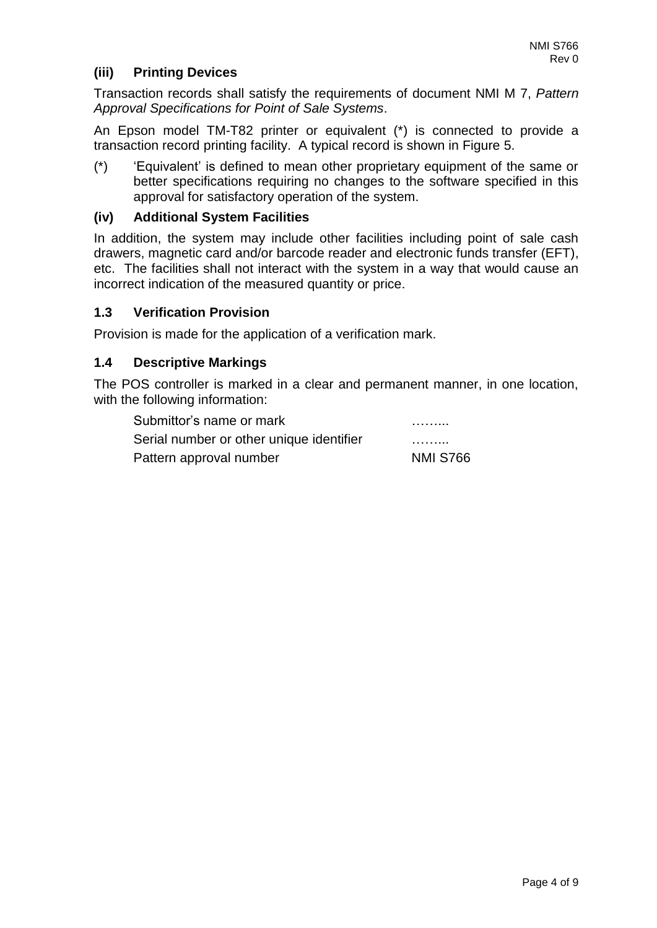# **(iii) Printing Devices**

Transaction records shall satisfy the requirements of document NMI M 7, *Pattern Approval Specifications for Point of Sale Systems*.

An Epson model TM-T82 printer or equivalent (\*) is connected to provide a transaction record printing facility. A typical record is shown in Figure 5.

(\*) 'Equivalent' is defined to mean other proprietary equipment of the same or better specifications requiring no changes to the software specified in this approval for satisfactory operation of the system.

### **(iv) Additional System Facilities**

In addition, the system may include other facilities including point of sale cash drawers, magnetic card and/or barcode reader and electronic funds transfer (EFT), etc. The facilities shall not interact with the system in a way that would cause an incorrect indication of the measured quantity or price.

#### **1.3 Verification Provision**

Provision is made for the application of a verification mark.

#### **1.4 Descriptive Markings**

The POS controller is marked in a clear and permanent manner, in one location, with the following information:

| Submittor's name or mark                 | .               |
|------------------------------------------|-----------------|
| Serial number or other unique identifier | .               |
| Pattern approval number                  | <b>NMI S766</b> |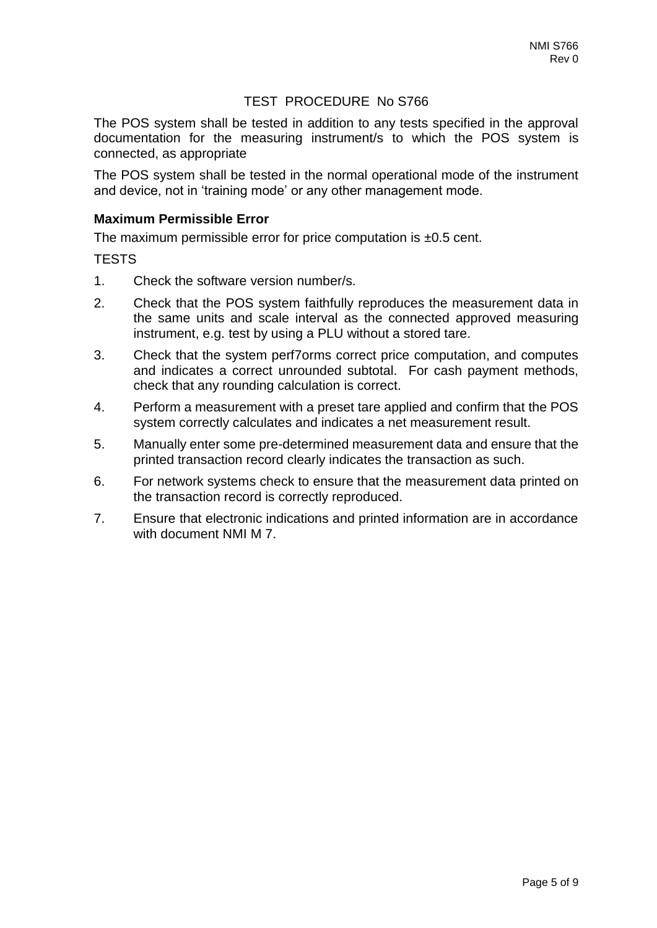# TEST PROCEDURE No S766

The POS system shall be tested in addition to any tests specified in the approval documentation for the measuring instrument/s to which the POS system is connected, as appropriate

The POS system shall be tested in the normal operational mode of the instrument and device, not in 'training mode' or any other management mode.

#### **Maximum Permissible Error**

The maximum permissible error for price computation is ±0.5 cent.

#### **TESTS**

- 1. Check the software version number/s.
- 2. Check that the POS system faithfully reproduces the measurement data in the same units and scale interval as the connected approved measuring instrument, e.g. test by using a PLU without a stored tare.
- 3. Check that the system perf7orms correct price computation, and computes and indicates a correct unrounded subtotal. For cash payment methods, check that any rounding calculation is correct.
- 4. Perform a measurement with a preset tare applied and confirm that the POS system correctly calculates and indicates a net measurement result.
- 5. Manually enter some pre-determined measurement data and ensure that the printed transaction record clearly indicates the transaction as such.
- 6. For network systems check to ensure that the measurement data printed on the transaction record is correctly reproduced.
- 7. Ensure that electronic indications and printed information are in accordance with document NMI M 7.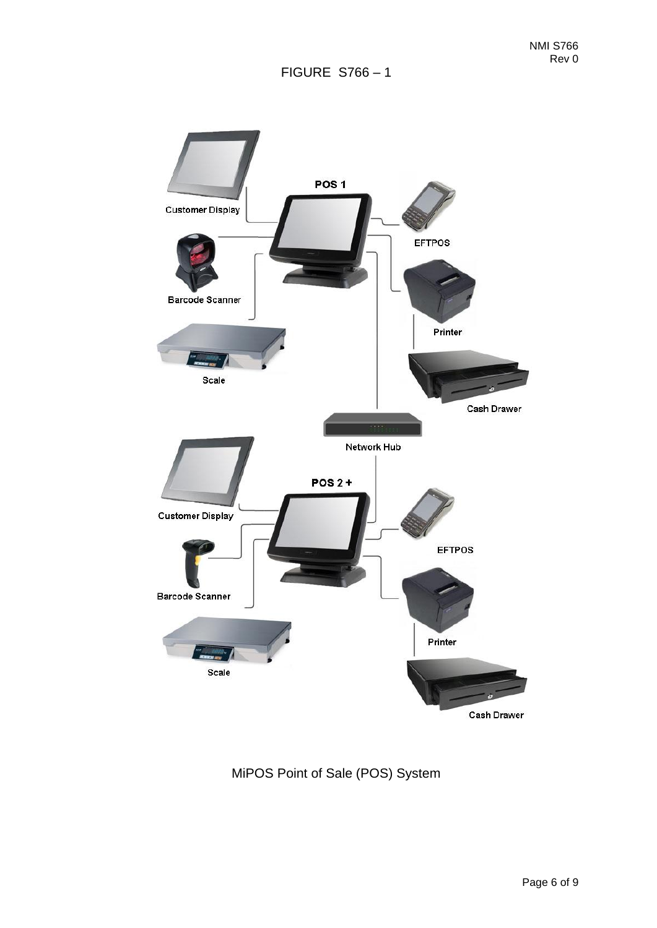

MiPOS Point of Sale (POS) System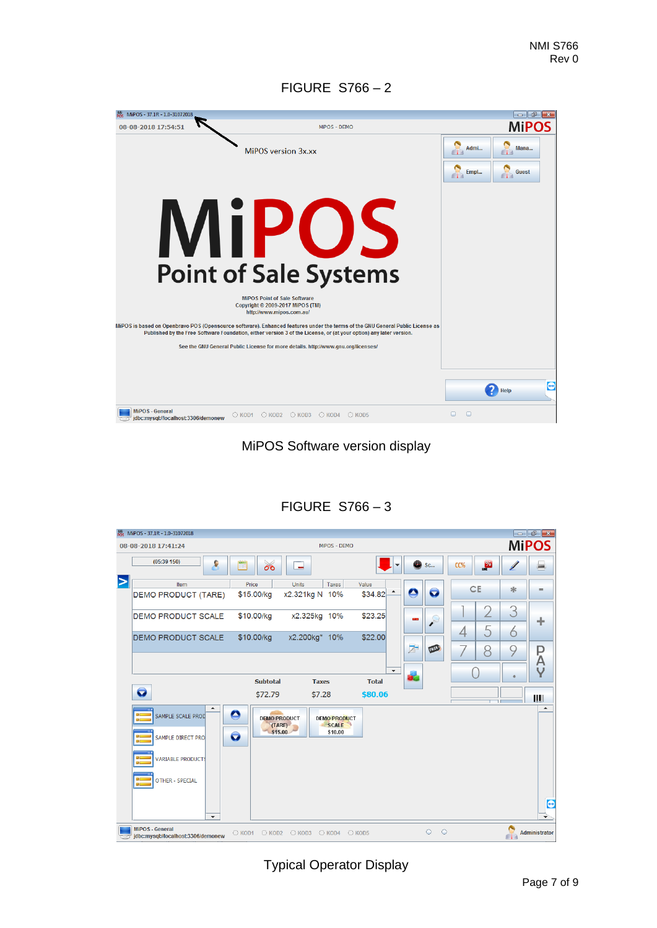# FIGURE S766 – 2

| MiPOS - 37.1R - 1.0-31072018                           |                                                                                                                                                                                                                                                                                 |              | -- -                 |
|--------------------------------------------------------|---------------------------------------------------------------------------------------------------------------------------------------------------------------------------------------------------------------------------------------------------------------------------------|--------------|----------------------|
| 08-08-2018 17:54:51                                    | MiPOS - DEMO                                                                                                                                                                                                                                                                    |              | <b>MiPOS</b>         |
|                                                        | MiPOS version 3x.xx                                                                                                                                                                                                                                                             | Admi<br>Empl | Mana<br><b>Guest</b> |
|                                                        | <b>MiPOS</b><br><b>Point of Sale Systems</b><br><b>MiPOS Point of Sale Software</b><br>Copyright © 2009-2017 MiPOS (TM)                                                                                                                                                         |              |                      |
|                                                        | http://www.mipos.com.au/<br>MiPOS is based on Openbravo POS (Opensource software). Enhanced features under the terms of the GNU General Public License as<br>Published by the Free Software Foundation, either version 3 of the License, or (at your option) any later version. |              |                      |
|                                                        | See the GNU General Public License for more details, http://www.gnu.org/licenses/                                                                                                                                                                                               |              |                      |
|                                                        |                                                                                                                                                                                                                                                                                 |              |                      |
|                                                        |                                                                                                                                                                                                                                                                                 |              | $\bigoplus$<br>Help  |
| MiPOS - General<br>jdbc:mysql://localhost:3306/demonew | $\bigcirc$ KOD3 $\bigcirc$ KOD4<br>$\circ$ KOD1 $\circ$ KOD2<br>C KOD5                                                                                                                                                                                                          | O<br>◠       |                      |

MiPOS Software version display

| (05:39 150)<br>ç                              |                                                       |                                                |                                          |                  |     |                      |   | <b>MiPOS</b>     |
|-----------------------------------------------|-------------------------------------------------------|------------------------------------------------|------------------------------------------|------------------|-----|----------------------|---|------------------|
|                                               | $\overline{\sigma}$                                   | ÷                                              |                                          | <sup>3</sup> Sc  | CC% | $\frac{1}{\sqrt{2}}$ |   |                  |
| Item<br>DEMO PRODUCT (TARE)                   | Price<br>\$15.00/kg                                   | Units<br>Taxes<br>x2.321kg N 10%               | Value<br>$\blacktriangle$<br>\$34.82     | e<br>o           |     | <b>CE</b>            | ∗ | ۰                |
| <b>DEMO PRODUCT SCALE</b>                     | \$10.00/kg                                            | x2.325kg 10%                                   | \$23.25                                  | Ω<br><b>CONT</b> |     |                      | 3 | ÷                |
| <b>DEMO PRODUCT SCALE</b>                     | \$10.00/kg                                            | x2.200kg* 10%                                  | \$22.00                                  |                  | 4   | 5                    | 6 |                  |
|                                               |                                                       |                                                |                                          | Z<br>FREES       |     | ρ                    | 9 | P<br>A           |
|                                               | <b>Subtotal</b>                                       | <b>Taxes</b>                                   | $\overline{\phantom{a}}$<br><b>Total</b> | Œ                |     |                      |   | Υ                |
| O                                             | \$72.79                                               | \$7.28                                         | \$80.06                                  |                  |     |                      |   | IIIII            |
| $\blacktriangle$<br>SAMPLE SCALE PROD<br>œ    | $\bullet$<br><b>DEMO PRODUCT</b><br>(TARE)<br>\$15.00 | <b>DEMO PRODUCT</b><br><b>SCALE</b><br>\$10.00 |                                          |                  |     |                      |   | $\blacktriangle$ |
| SAMPLE DIRECT PRO<br><b>VARIABLE PRODUCTS</b> | O                                                     |                                                |                                          |                  |     |                      |   |                  |
| αc<br><b>OTHER - SPECIAL</b><br>$\alpha$      |                                                       |                                                |                                          |                  |     |                      |   |                  |
| $\overline{\phantom{a}}$                      |                                                       |                                                |                                          |                  |     |                      |   |                  |

# FIGURE S766 – 3

Typical Operator Display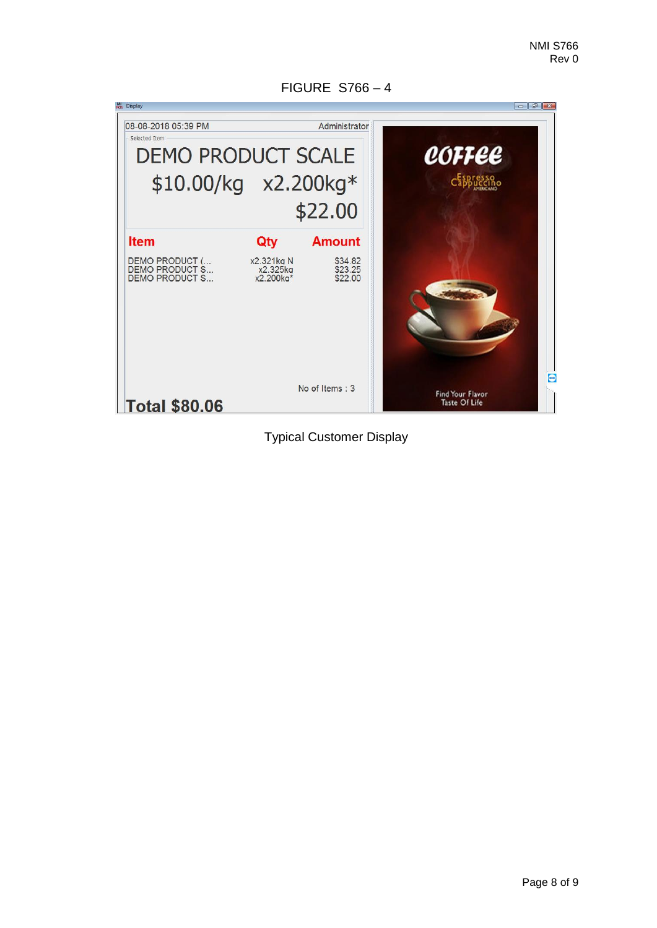Mi Display 08-08-2018 05:39 PM Administrator Selected Item **DEMO PRODUCT SCALE** coffee \$10.00/kg x2.200kg\* \$22.00 **Amount Item** Qty DEMO PRODUCT (...<br>DEMO PRODUCT S...<br>DEMO PRODUCT S... x2.321kg N<br>x2.325kg<br>x2.200kg\* \$34.82<br>\$23.25<br>\$22.00  $\Theta$ No of Items: 3 Find Your Flavor<br>Taste Of Life **Total \$80.06** 

FIGURE S766 – 4

Typical Customer Display